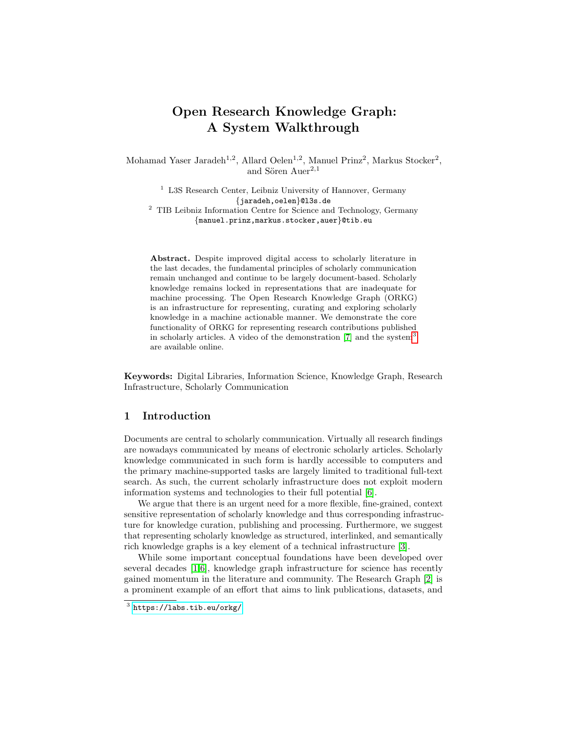# Open Research Knowledge Graph: A System Walkthrough

Mohamad Yaser Jaradeh<sup>1,2</sup>, Allard Oelen<sup>1,2</sup>, Manuel Prinz<sup>2</sup>, Markus Stocker<sup>2</sup>, and Sören Auer<sup>2,1</sup>

<sup>1</sup> L3S Research Center, Leibniz University of Hannover, Germany {jaradeh,oelen}@l3s.de <sup>2</sup> TIB Leibniz Information Centre for Science and Technology, Germany

{manuel.prinz,markus.stocker,auer}@tib.eu

Abstract. Despite improved digital access to scholarly literature in the last decades, the fundamental principles of scholarly communication remain unchanged and continue to be largely document-based. Scholarly knowledge remains locked in representations that are inadequate for machine processing. The Open Research Knowledge Graph (ORKG) is an infrastructure for representing, curating and exploring scholarly knowledge in a machine actionable manner. We demonstrate the core functionality of ORKG for representing research contributions published in scholarly articles. A video of the demonstration  $[7]$  and the system<sup>[3](#page-0-0)</sup> are available online.

Keywords: Digital Libraries, Information Science, Knowledge Graph, Research Infrastructure, Scholarly Communication

### 1 Introduction

Documents are central to scholarly communication. Virtually all research findings are nowadays communicated by means of electronic scholarly articles. Scholarly knowledge communicated in such form is hardly accessible to computers and the primary machine-supported tasks are largely limited to traditional full-text search. As such, the current scholarly infrastructure does not exploit modern information systems and technologies to their full potential [\[6\]](#page-3-1).

We argue that there is an urgent need for a more flexible, fine-grained, context sensitive representation of scholarly knowledge and thus corresponding infrastructure for knowledge curation, publishing and processing. Furthermore, we suggest that representing scholarly knowledge as structured, interlinked, and semantically rich knowledge graphs is a key element of a technical infrastructure [\[3\]](#page-3-2).

While some important conceptual foundations have been developed over several decades [\[1](#page-3-3)[,6\]](#page-3-1), knowledge graph infrastructure for science has recently gained momentum in the literature and community. The Research Graph [\[2\]](#page-3-4) is a prominent example of an effort that aims to link publications, datasets, and

<span id="page-0-0"></span> $^3$  <https://labs.tib.eu/orkg/>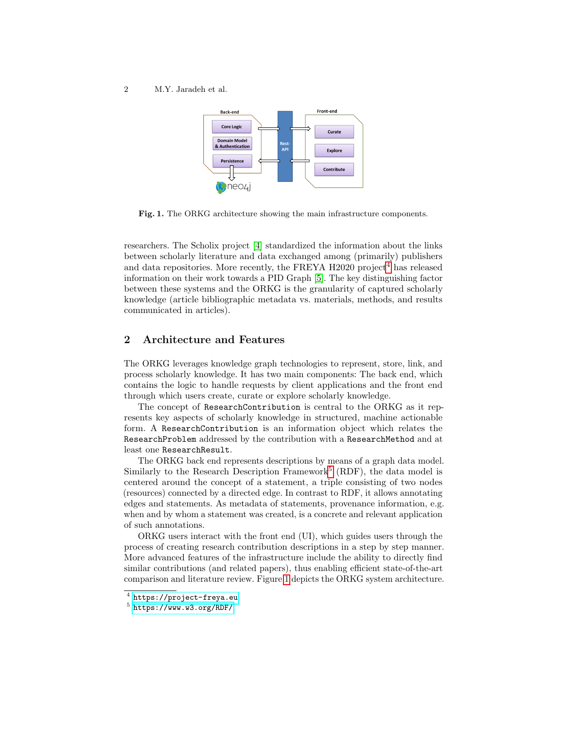2 M.Y. Jaradeh et al.



<span id="page-1-2"></span>Fig. 1. The ORKG architecture showing the main infrastructure components.

researchers. The Scholix project [\[4\]](#page-3-5) standardized the information about the links between scholarly literature and data exchanged among (primarily) publishers and data repositories. More recently, the FREYA  $H2020$  project<sup>[4](#page-1-0)</sup> has released information on their work towards a PID Graph [\[5\]](#page-3-6). The key distinguishing factor between these systems and the ORKG is the granularity of captured scholarly knowledge (article bibliographic metadata vs. materials, methods, and results communicated in articles).

## 2 Architecture and Features

The ORKG leverages knowledge graph technologies to represent, store, link, and process scholarly knowledge. It has two main components: The back end, which contains the logic to handle requests by client applications and the front end through which users create, curate or explore scholarly knowledge.

The concept of ResearchContribution is central to the ORKG as it represents key aspects of scholarly knowledge in structured, machine actionable form. A ResearchContribution is an information object which relates the ResearchProblem addressed by the contribution with a ResearchMethod and at least one ResearchResult.

The ORKG back end represents descriptions by means of a graph data model. Similarly to the Research Description Framework<sup>[5](#page-1-1)</sup> (RDF), the data model is centered around the concept of a statement, a triple consisting of two nodes (resources) connected by a directed edge. In contrast to RDF, it allows annotating edges and statements. As metadata of statements, provenance information, e.g. when and by whom a statement was created, is a concrete and relevant application of such annotations.

ORKG users interact with the front end (UI), which guides users through the process of creating research contribution descriptions in a step by step manner. More advanced features of the infrastructure include the ability to directly find similar contributions (and related papers), thus enabling efficient state-of-the-art comparison and literature review. Figure [1](#page-1-2) depicts the ORKG system architecture.

<span id="page-1-0"></span> $^4$  <https://project-freya.eu>

<span id="page-1-1"></span> $5$  <https://www.w3.org/RDF/>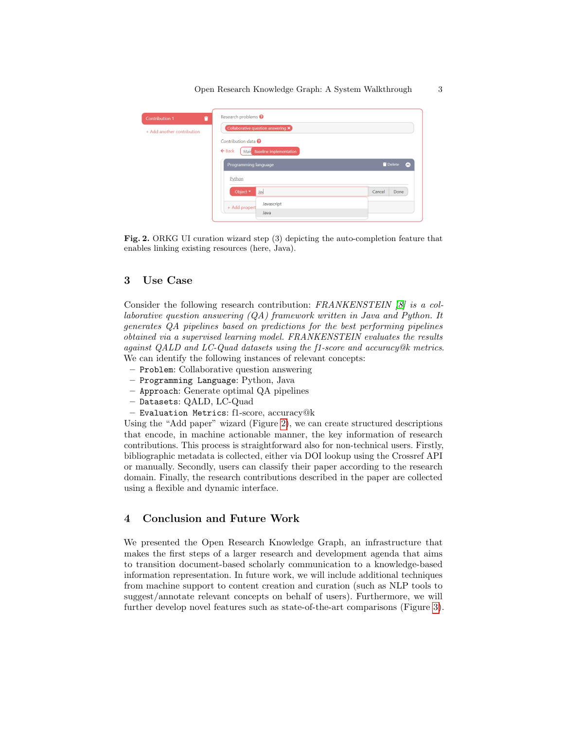| <b>Contribution 1</b>      | Research problems <sup>O</sup>                                                                |                  |
|----------------------------|-----------------------------------------------------------------------------------------------|------------------|
| + Add another contribution | Collaborative question answering $\times$                                                     |                  |
|                            | Contribution data <sup>2</sup><br>$\leftarrow$ Back<br><b>Baseline implementation</b><br>Mair |                  |
|                            | Programming language                                                                          | Delete<br>$\sim$ |
|                            | Python                                                                                        |                  |
|                            | Object *<br>Jay                                                                               | Cancel<br>Done   |
|                            | Javascript<br>+ Add propert                                                                   |                  |
|                            | Java                                                                                          |                  |

<span id="page-2-0"></span>Fig. 2. ORKG UI curation wizard step (3) depicting the auto-completion feature that enables linking existing resources (here, Java).

#### 3 Use Case

Consider the following research contribution: FRANKENSTEIN [\[8\]](#page-3-7) is a collaborative question answering (QA) framework written in Java and Python. It generates QA pipelines based on predictions for the best performing pipelines obtained via a supervised learning model. FRANKENSTEIN evaluates the results against QALD and LC-Quad datasets using the f1-score and accuracy@k metrics. We can identify the following instances of relevant concepts:

- Problem: Collaborative question answering
- Programming Language: Python, Java
- Approach: Generate optimal QA pipelines
- Datasets: QALD, LC-Quad
- Evaluation Metrics: f1-score, accuracy@k

Using the "Add paper" wizard (Figure [2\)](#page-2-0), we can create structured descriptions that encode, in machine actionable manner, the key information of research contributions. This process is straightforward also for non-technical users. Firstly, bibliographic metadata is collected, either via DOI lookup using the Crossref API or manually. Secondly, users can classify their paper according to the research domain. Finally, the research contributions described in the paper are collected using a flexible and dynamic interface.

# 4 Conclusion and Future Work

We presented the Open Research Knowledge Graph, an infrastructure that makes the first steps of a larger research and development agenda that aims to transition document-based scholarly communication to a knowledge-based information representation. In future work, we will include additional techniques from machine support to content creation and curation (such as NLP tools to suggest/annotate relevant concepts on behalf of users). Furthermore, we will further develop novel features such as state-of-the-art comparisons (Figure [3\)](#page-3-8).